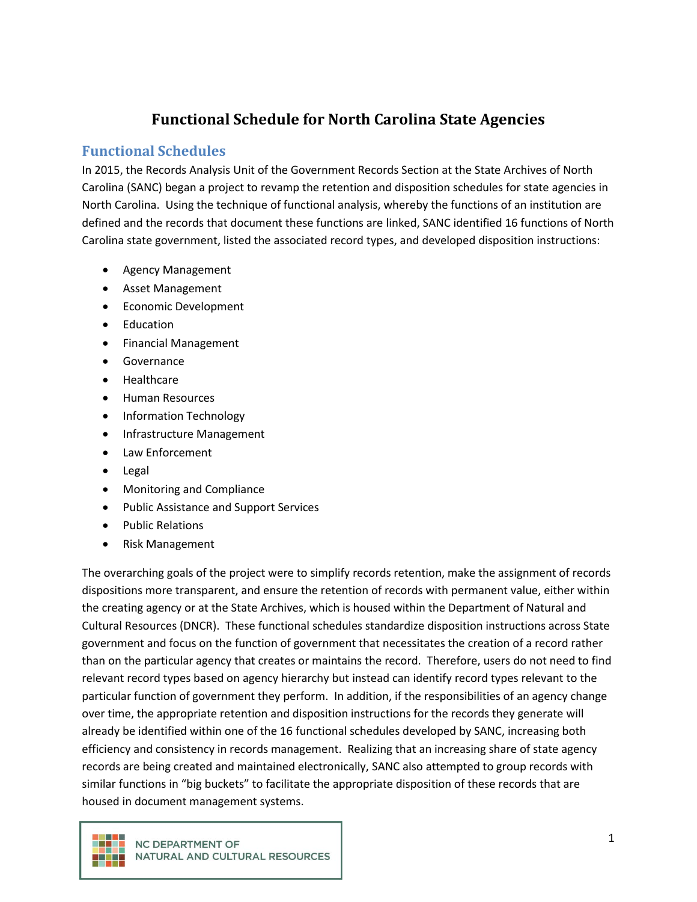# **Functional Schedule for North Carolina State Agencies**

#### **Functional Schedules**

In 2015, the Records Analysis Unit of the Government Records Section at the State Archives of North Carolina (SANC) began a project to revamp the retention and disposition schedules for state agencies in North Carolina. Using the technique of functional analysis, whereby the functions of an institution are defined and the records that document these functions are linked, SANC identified 16 functions of North Carolina state government, listed the associated record types, and developed disposition instructions:

- Agency Management
- Asset Management
- Economic Development
- Education
- Financial Management
- Governance
- Healthcare
- Human Resources
- Information Technology
- Infrastructure Management
- Law Enforcement
- Legal
- Monitoring and Compliance
- Public Assistance and Support Services
- Public Relations
- Risk Management

The overarching goals of the project were to simplify records retention, make the assignment of records dispositions more transparent, and ensure the retention of records with permanent value, either within the creating agency or at the State Archives, which is housed within the Department of Natural and Cultural Resources (DNCR). These functional schedules standardize disposition instructions across State government and focus on the function of government that necessitates the creation of a record rather than on the particular agency that creates or maintains the record. Therefore, users do not need to find relevant record types based on agency hierarchy but instead can identify record types relevant to the particular function of government they perform. In addition, if the responsibilities of an agency change over time, the appropriate retention and disposition instructions for the records they generate will already be identified within one of the 16 functional schedules developed by SANC, increasing both efficiency and consistency in records management. Realizing that an increasing share of state agency records are being created and maintained electronically, SANC also attempted to group records with similar functions in "big buckets" to facilitate the appropriate disposition of these records that are housed in document management systems.

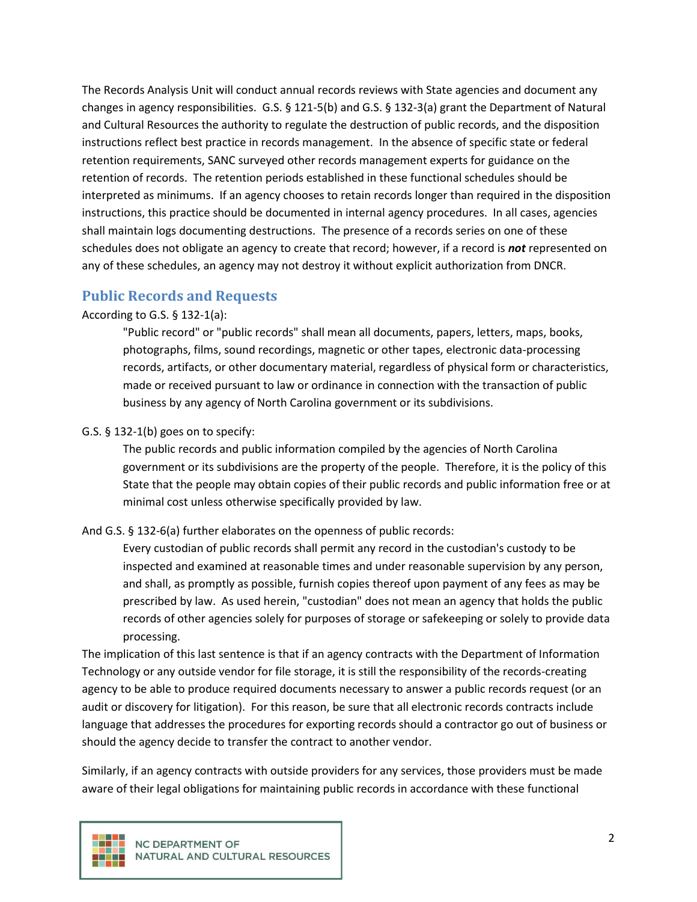The Records Analysis Unit will conduct annual records reviews with State agencies and document any changes in agency responsibilities. G.S. § 121-5(b) and G.S. § 132-3(a) grant the Department of Natural and Cultural Resources the authority to regulate the destruction of public records, and the disposition instructions reflect best practice in records management. In the absence of specific state or federal retention requirements, SANC surveyed other records management experts for guidance on the retention of records. The retention periods established in these functional schedules should be interpreted as minimums. If an agency chooses to retain records longer than required in the disposition instructions, this practice should be documented in internal agency procedures. In all cases, agencies shall maintain logs documenting destructions. The presence of a records series on one of these schedules does not obligate an agency to create that record; however, if a record is *not* represented on any of these schedules, an agency may not destroy it without explicit authorization from DNCR.

#### **Public Records and Requests**

According to G.S. § 132-1(a):

"Public record" or "public records" shall mean all documents, papers, letters, maps, books, photographs, films, sound recordings, magnetic or other tapes, electronic data-processing records, artifacts, or other documentary material, regardless of physical form or characteristics, made or received pursuant to law or ordinance in connection with the transaction of public business by any agency of North Carolina government or its subdivisions.

#### G.S. § 132-1(b) goes on to specify:

The public records and public information compiled by the agencies of North Carolina government or its subdivisions are the property of the people. Therefore, it is the policy of this State that the people may obtain copies of their public records and public information free or at minimal cost unless otherwise specifically provided by law.

#### And G.S. § 132-6(a) further elaborates on the openness of public records:

Every custodian of public records shall permit any record in the custodian's custody to be inspected and examined at reasonable times and under reasonable supervision by any person, and shall, as promptly as possible, furnish copies thereof upon payment of any fees as may be prescribed by law. As used herein, "custodian" does not mean an agency that holds the public records of other agencies solely for purposes of storage or safekeeping or solely to provide data processing.

The implication of this last sentence is that if an agency contracts with the Department of Information Technology or any outside vendor for file storage, it is still the responsibility of the records-creating agency to be able to produce required documents necessary to answer a public records request (or an audit or discovery for litigation). For this reason, be sure that all electronic records contracts include language that addresses the procedures for exporting records should a contractor go out of business or should the agency decide to transfer the contract to another vendor.

Similarly, if an agency contracts with outside providers for any services, those providers must be made aware of their legal obligations for maintaining public records in accordance with these functional

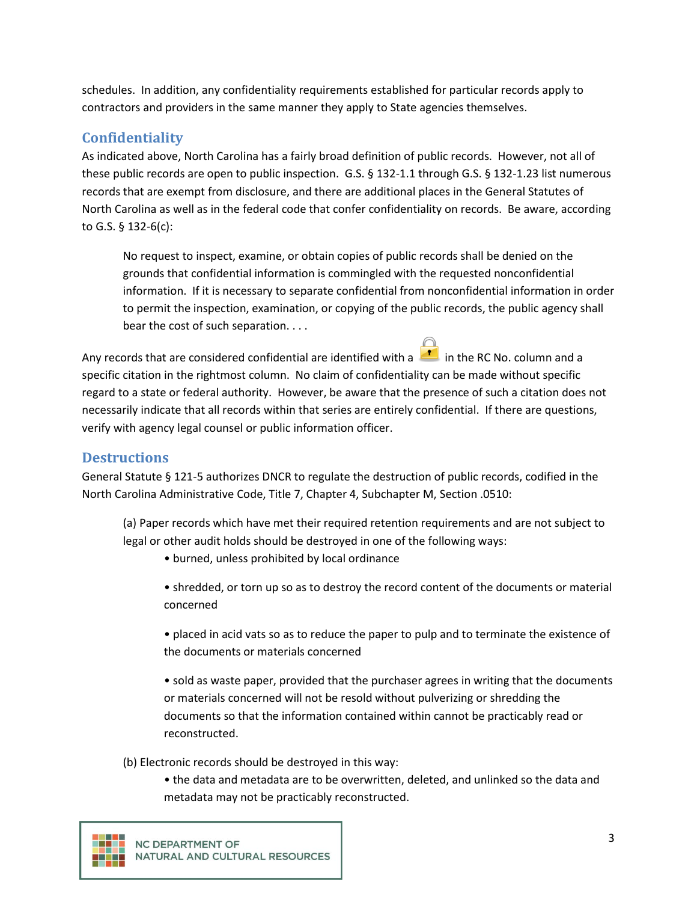schedules. In addition, any confidentiality requirements established for particular records apply to contractors and providers in the same manner they apply to State agencies themselves.

## **Confidentiality**

As indicated above, North Carolina has a fairly broad definition of public records. However, not all of these public records are open to public inspection. G.S. § 132-1.1 through G.S. § 132-1.23 list numerous records that are exempt from disclosure, and there are additional places in the General Statutes of North Carolina as well as in the federal code that confer confidentiality on records. Be aware, according to G.S. § 132-6(c):

No request to inspect, examine, or obtain copies of public records shall be denied on the grounds that confidential information is commingled with the requested nonconfidential information. If it is necessary to separate confidential from nonconfidential information in order to permit the inspection, examination, or copying of the public records, the public agency shall bear the cost of such separation. . . .

Any records that are considered confidential are identified with a  $\blacksquare$  in the RC No. column and a specific citation in the rightmost column. No claim of confidentiality can be made without specific regard to a state or federal authority. However, be aware that the presence of such a citation does not necessarily indicate that all records within that series are entirely confidential. If there are questions, verify with agency legal counsel or public information officer.

#### **Destructions**

General Statute § 121-5 authorizes DNCR to regulate the destruction of public records, codified in the North Carolina Administrative Code, Title 7, Chapter 4, Subchapter M, Section .0510:

(a) Paper records which have met their required retention requirements and are not subject to legal or other audit holds should be destroyed in one of the following ways:

• burned, unless prohibited by local ordinance

• shredded, or torn up so as to destroy the record content of the documents or material concerned

• placed in acid vats so as to reduce the paper to pulp and to terminate the existence of the documents or materials concerned

• sold as waste paper, provided that the purchaser agrees in writing that the documents or materials concerned will not be resold without pulverizing or shredding the documents so that the information contained within cannot be practicably read or reconstructed.

(b) Electronic records should be destroyed in this way:

• the data and metadata are to be overwritten, deleted, and unlinked so the data and metadata may not be practicably reconstructed.

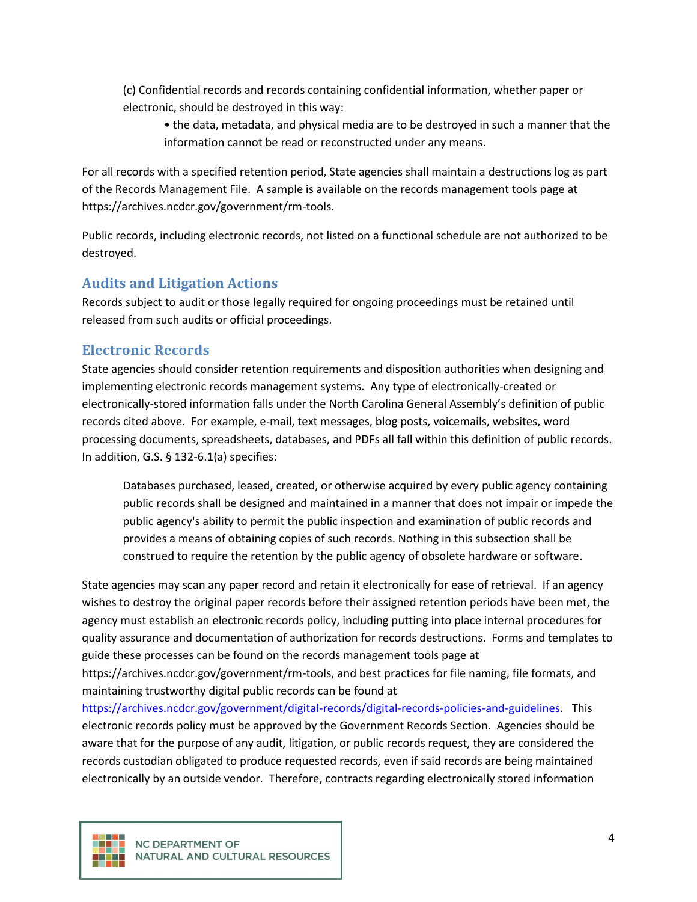(c) Confidential records and records containing confidential information, whether paper or electronic, should be destroyed in this way:

• the data, metadata, and physical media are to be destroyed in such a manner that the information cannot be read or reconstructed under any means.

For all records with a specified retention period, State agencies shall maintain a destructions log as part of the Records Management File. A sample is available on the records management tools page at https://archives.ncdcr.gov/government/rm-tools.

Public records, including electronic records, not listed on a functional schedule are not authorized to be destroyed.

## **Audits and Litigation Actions**

Records subject to audit or those legally required for ongoing proceedings must be retained until released from such audits or official proceedings.

## **Electronic Records**

State agencies should consider retention requirements and disposition authorities when designing and implementing electronic records management systems. Any type of electronically-created or electronically-stored information falls under the North Carolina General Assembly's definition of public records cited above. For example, e-mail, text messages, blog posts, voicemails, websites, word processing documents, spreadsheets, databases, and PDFs all fall within this definition of public records. In addition, G.S. § 132-6.1(a) specifies:

Databases purchased, leased, created, or otherwise acquired by every public agency containing public records shall be designed and maintained in a manner that does not impair or impede the public agency's ability to permit the public inspection and examination of public records and provides a means of obtaining copies of such records. Nothing in this subsection shall be construed to require the retention by the public agency of obsolete hardware or software.

State agencies may scan any paper record and retain it electronically for ease of retrieval. If an agency wishes to destroy the original paper records before their assigned retention periods have been met, the agency must establish an electronic records policy, including putting into place internal procedures for quality assurance and documentation of authorization for records destructions. Forms and templates to guide these processes can be found on the records management tools page at

https://archives.ncdcr.gov/government/rm-tools, and best practices for file naming, file formats, and maintaining trustworthy digital public records can be found at

[https://archives.ncdcr.gov/government/digital-records/digital-records-policies-and-guidelines.](https://archives.ncdcr.gov/government/digital-records/digital-records-policies-and-guidelines) This electronic records policy must be approved by the Government Records Section. Agencies should be aware that for the purpose of any audit, litigation, or public records request, they are considered the records custodian obligated to produce requested records, even if said records are being maintained electronically by an outside vendor. Therefore, contracts regarding electronically stored information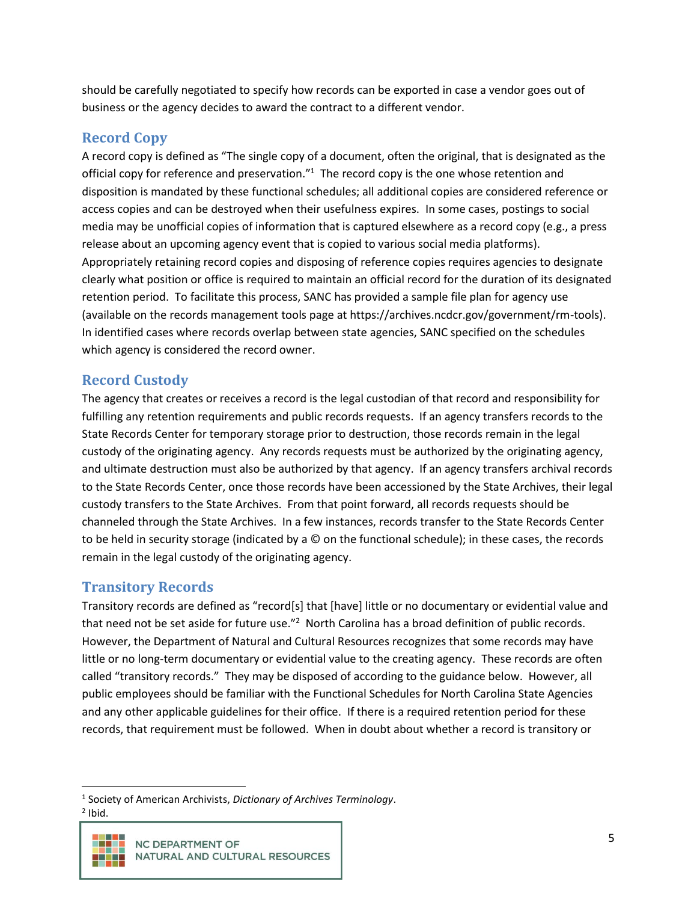should be carefully negotiated to specify how records can be exported in case a vendor goes out of business or the agency decides to award the contract to a different vendor.

## **Record Copy**

A record copy is defined as "The single copy of a document, often the original, that is designated as the official copy for reference and preservation."<sup>1</sup> The record copy is the one whose retention and disposition is mandated by these functional schedules; all additional copies are considered reference or access copies and can be destroyed when their usefulness expires. In some cases, postings to social media may be unofficial copies of information that is captured elsewhere as a record copy (e.g., a press release about an upcoming agency event that is copied to various social media platforms). Appropriately retaining record copies and disposing of reference copies requires agencies to designate clearly what position or office is required to maintain an official record for the duration of its designated retention period. To facilitate this process, SANC has provided a sample file plan for agency use (available on the records management tools page at https://archives.ncdcr.gov/government/rm-tools). In identified cases where records overlap between state agencies, SANC specified on the schedules which agency is considered the record owner.

## **Record Custody**

The agency that creates or receives a record is the legal custodian of that record and responsibility for fulfilling any retention requirements and public records requests. If an agency transfers records to the State Records Center for temporary storage prior to destruction, those records remain in the legal custody of the originating agency. Any records requests must be authorized by the originating agency, and ultimate destruction must also be authorized by that agency. If an agency transfers archival records to the State Records Center, once those records have been accessioned by the State Archives, their legal custody transfers to the State Archives. From that point forward, all records requests should be channeled through the State Archives. In a few instances, records transfer to the State Records Center to be held in security storage (indicated by a © on the functional schedule); in these cases, the records remain in the legal custody of the originating agency.

## **Transitory Records**

Transitory records are defined as "record[s] that [have] little or no documentary or evidential value and that need not be set aside for future use."<sup>2</sup> North Carolina has a broad definition of public records. However, the Department of Natural and Cultural Resources recognizes that some records may have little or no long-term documentary or evidential value to the creating agency. These records are often called "transitory records." They may be disposed of according to the guidance below. However, all public employees should be familiar with the Functional Schedules for North Carolina State Agencies and any other applicable guidelines for their office. If there is a required retention period for these records, that requirement must be followed. When in doubt about whether a record is transitory or

 $<sup>2</sup>$  Ibid.</sup>



<sup>1</sup> Society of American Archivists, *Dictionary of Archives Terminology*.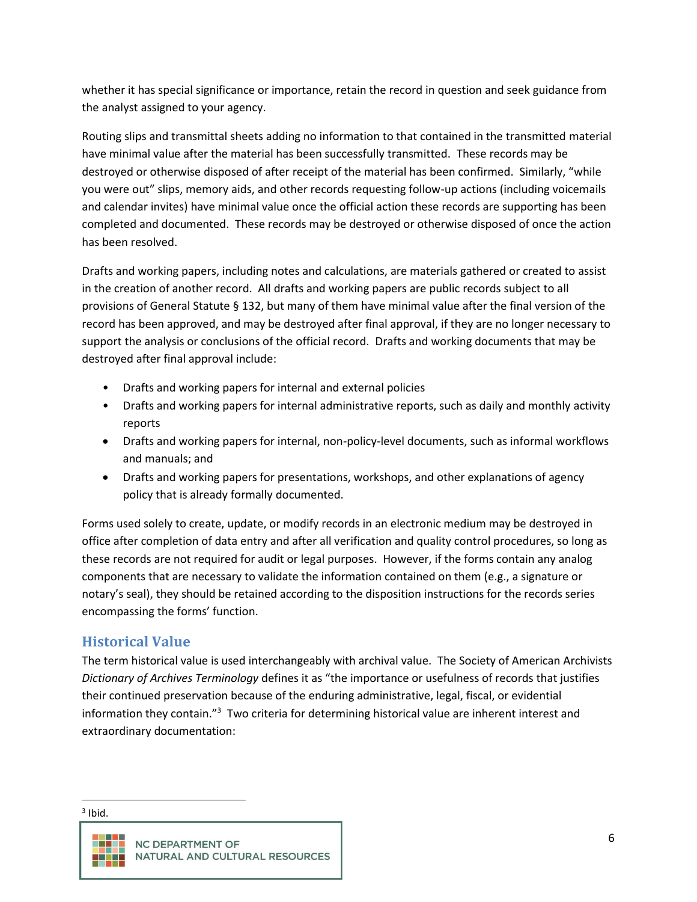whether it has special significance or importance, retain the record in question and seek guidance from the analyst assigned to your agency.

Routing slips and transmittal sheets adding no information to that contained in the transmitted material have minimal value after the material has been successfully transmitted. These records may be destroyed or otherwise disposed of after receipt of the material has been confirmed. Similarly, "while you were out" slips, memory aids, and other records requesting follow-up actions (including voicemails and calendar invites) have minimal value once the official action these records are supporting has been completed and documented. These records may be destroyed or otherwise disposed of once the action has been resolved.

Drafts and working papers, including notes and calculations, are materials gathered or created to assist in the creation of another record. All drafts and working papers are public records subject to all provisions of General Statute § 132, but many of them have minimal value after the final version of the record has been approved, and may be destroyed after final approval, if they are no longer necessary to support the analysis or conclusions of the official record. Drafts and working documents that may be destroyed after final approval include:

- Drafts and working papers for internal and external policies
- Drafts and working papers for internal administrative reports, such as daily and monthly activity reports
- Drafts and working papers for internal, non-policy-level documents, such as informal workflows and manuals; and
- Drafts and working papers for presentations, workshops, and other explanations of agency policy that is already formally documented.

Forms used solely to create, update, or modify records in an electronic medium may be destroyed in office after completion of data entry and after all verification and quality control procedures, so long as these records are not required for audit or legal purposes. However, if the forms contain any analog components that are necessary to validate the information contained on them (e.g., a signature or notary's seal), they should be retained according to the disposition instructions for the records series encompassing the forms' function.

## **Historical Value**

The term historical value is used interchangeably with archival value. The Society of American Archivists *Dictionary of Archives Terminology* defines it as "the importance or usefulness of records that justifies their continued preservation because of the enduring administrative, legal, fiscal, or evidential information they contain.<sup>"3</sup> Two criteria for determining historical value are inherent interest and extraordinary documentation:

 $3$  Ibid.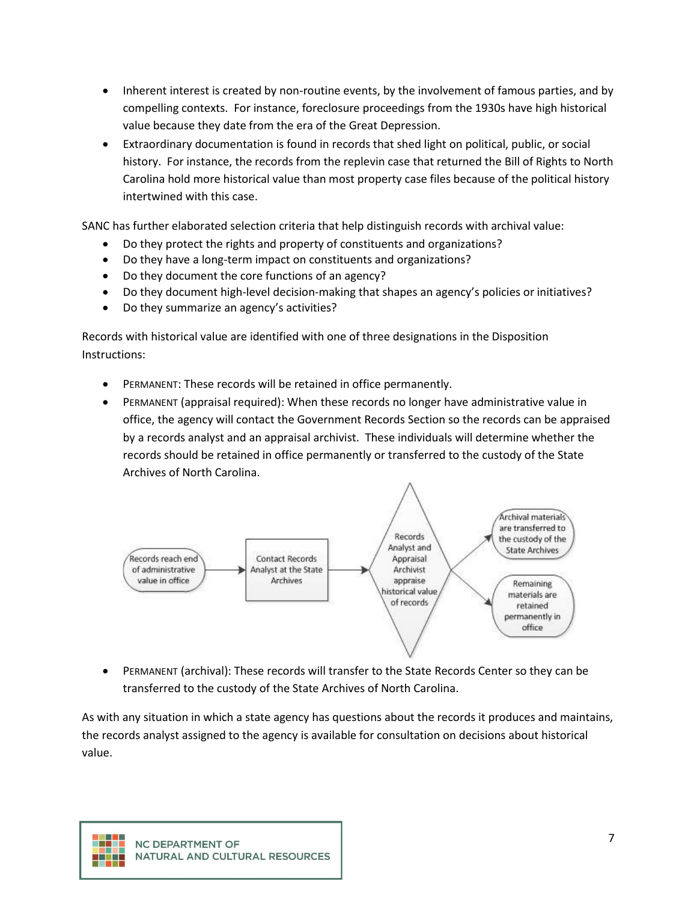- Inherent interest is created by non-routine events, by the involvement of famous parties, and by compelling contexts. For instance, foreclosure proceedings from the 1930s have high historical value because they date from the era of the Great Depression.
- Extraordinary documentation is found in records that shed light on political, public, or social history. For instance, the records from the replevin case that returned the Bill of Rights to North Carolina hold more historical value than most property case files because of the political history intertwined with this case.

SANC has further elaborated selection criteria that help distinguish records with archival value:

- Do they protect the rights and property of constituents and organizations?
- Do they have a long-term impact on constituents and organizations?
- Do they document the core functions of an agency?
- Do they document high-level decision-making that shapes an agency's policies or initiatives?
- Do they summarize an agency's activities?

Records with historical value are identified with one of three designations in the Disposition Instructions:

- PERMANENT: These records will be retained in office permanently.
- PERMANENT (appraisal required): When these records no longer have administrative value in office, the agency will contact the Government Records Section so the records can be appraised by a records analyst and an appraisal archivist. These individuals will determine whether the records should be retained in office permanently or transferred to the custody of the State Archives of North Carolina.



• PERMANENT (archival): These records will transfer to the State Records Center so they can be transferred to the custody of the State Archives of North Carolina.

As with any situation in which a state agency has questions about the records it produces and maintains, the records analyst assigned to the agency is available for consultation on decisions about historical value.

T T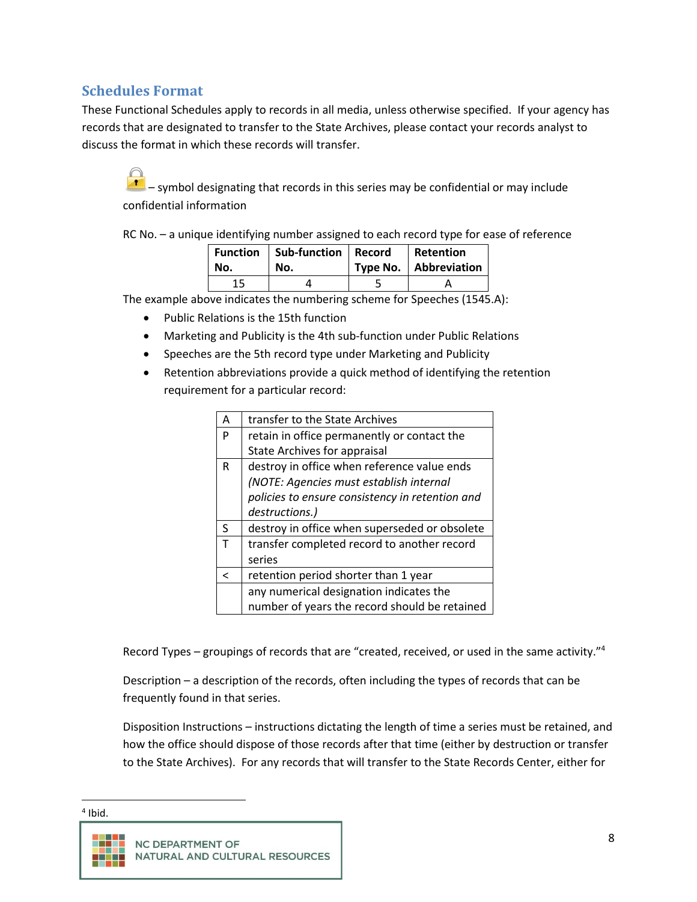## **Schedules Format**

These Functional Schedules apply to records in all media, unless otherwise specified. If your agency has records that are designated to transfer to the State Archives, please contact your records analyst to discuss the format in which these records will transfer.

 $\mathcal{F}_{\mathcal{F}}$  – symbol designating that records in this series may be confidential or may include confidential information

RC No. – a unique identifying number assigned to each record type for ease of reference

| No. | Function   Sub-function   Record<br>No. | Retention<br>Type No.   Abbreviation |
|-----|-----------------------------------------|--------------------------------------|
|     |                                         |                                      |

The example above indicates the numbering scheme for Speeches (1545.A):

- Public Relations is the 15th function
- Marketing and Publicity is the 4th sub-function under Public Relations
- Speeches are the 5th record type under Marketing and Publicity
- Retention abbreviations provide a quick method of identifying the retention requirement for a particular record:

| Α | transfer to the State Archives                  |
|---|-------------------------------------------------|
| P | retain in office permanently or contact the     |
|   | <b>State Archives for appraisal</b>             |
| R | destroy in office when reference value ends     |
|   | (NOTE: Agencies must establish internal         |
|   | policies to ensure consistency in retention and |
|   | destructions.)                                  |
| S | destroy in office when superseded or obsolete   |
| T | transfer completed record to another record     |
|   | series                                          |
| ╯ | retention period shorter than 1 year            |
|   | any numerical designation indicates the         |
|   | number of years the record should be retained   |

Record Types – groupings of records that are "created, received, or used in the same activity."<sup>4</sup>

Description – a description of the records, often including the types of records that can be frequently found in that series.

Disposition Instructions – instructions dictating the length of time a series must be retained, and how the office should dispose of those records after that time (either by destruction or transfer to the State Archives). For any records that will transfer to the State Records Center, either for

4 Ibid.